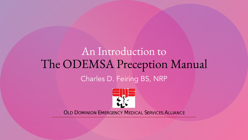### An Introduction to The ODEMSA Preception Manual Charles D. Feiring BS, NRP



**OLD DOMINION EMERGENCY MEDICAL SERVICES ALLIANCE**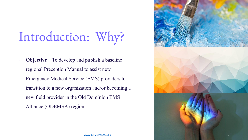# Introduction: Why?

<sup>∙</sup> **Objective** – To develop and publish a baseline regional Preception Manual to assist new Emergency Medical Service (EMS) providers to transition to a new organization and/or becoming a new field provider in the Old Dominion EMS Alliance (ODEMSA) region



[WWW.ODEMSA.VAEMS.ORG](http://www.odemsa.vaems.org/) 2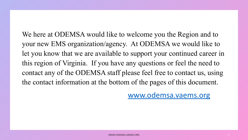We here at ODEMSA would like to welcome you the Region and to your new EMS organization/agency. At ODEMSA we would like to let you know that we are available to support your continued career in this region of Virginia. If you have any questions or feel the need to contact any of the ODEMSA staff please feel free to contact us, using the contact information at the bottom of the pages of this document.

[www.odemsa.vaems.org](http://www.odemsa.vaems.org/)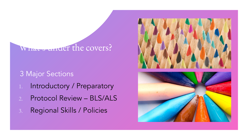### What's under the covers?

### 3 Major Sections

- 1. Introductory / Preparatory
- 2. Protocol Review BLS/ALS
- 3. Regional Skills / Policies

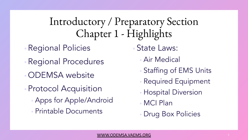### Introductory / Preparatory Section Chapter 1 - Highlights

- **Regional Policies**
- Regional Procedures
- ODEMSA website
- Protocol Acquisition **Apps for Apple/Android** ▪ Printable Documents
- State Laws:
	- **Air Medical**
	- Staffing of EMS Units
	- **Required Equipment**
	- *Hospital Diversion*
	- MCI Plan
	- Drug Box Policies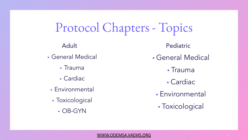Protocol Chapters - Topics

- General Medical
	- Trauma
	- Cardiac
	- **Environmental**
	- **Toxicological** 
		- OB-GYN

Adult Pediatric

- **General Medical** 
	- Trauma
	- Cardiac
	- **Environmental**
	- **Toxicological**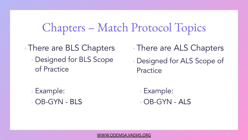### Chapters – Match Protocol Topics

**There are BLS Chapters • Designed for BLS Scope** of Practice

- **There are ALS Chapters**
- Designed for ALS Scope of Practice

Example: ▪ OB-GYN - BLS

▪ Example:  $-$  OB-GYN - ALS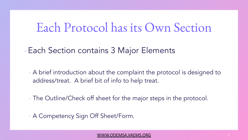### Each Protocol has its Own Section

- **Each Section contains 3 Major Elements** 
	- A brief introduction about the complaint the protocol is designed to address/treat. A brief bit of info to help treat.
	- **The Outline/Check off sheet for the major steps in the protocol.**
	- **A Competency Sign Off Sheet/Form.**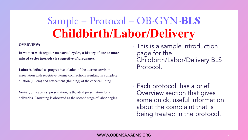## Sample – Protocol – OB-GYN-**BLS Childbirth/Labor/Delivery**

#### **OVERVIEW:**

**In women with regular menstrual cycles, a history of one or more missed cycles (periods) is suggestive of pregnancy.** 

Labor is defined as progressive dilation of the uterine cervix in association with repetitive uterine contractions resulting in complete dilation (10 cm) and effacement (thinning) of the cervical lining.

**Vertex**, or head-first presentation, is the ideal presentation for all deliveries. Crowning is observed as the second stage of labor begins.

- This is a sample introduction page for the Childbirth/Labor/Delivery BLS Protocol.
- Each protocol has a brief Overview section that gives some quick, useful information about the complaint that is being treated in the protocol.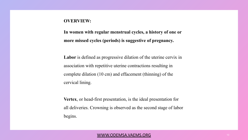### **OVERVIEW:**

**In women with regular menstrual cycles, a history of one or more missed cycles (periods) is suggestive of pregnancy.** 

**Labor** is defined as progressive dilation of the uterine cervix in association with repetitive uterine contractions resulting in complete dilation (10 cm) and effacement (thinning) of the cervical lining.

**Vertex**, or head-first presentation, is the ideal presentation for all deliveries. Crowning is observed as the second stage of labor begins.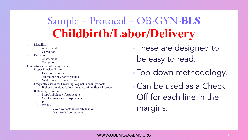### Sample – Protocol – OB-GYN-**BLS Childbirth/Labor/Delivery**

- **Disability** 
	- Assessment
	- Correction
- **Exposure** 
	- Assessment
	- Correction
- 2. Demonstrates the following skills.
	- Proper Physical Exam
		- i. Head to toe format
		- All major body parts/systems
		- Vital Signs / Documentation
	- b. Frequently assess for Crowning/Vaginal Bleeding/Shock
		- If shock develops follow the appropriate Shock Protocol
	- If Delivery is imminent
		- Stop Ambulance if Applicable.
		- Call for manpower if Applicable.
		- iii. PPE
		- **OB** Kit
			- Layout contents in orderly fashion.
			- ID all needed components.

**These are designed to** be easy to read.

- Top-down methodology.
- Can be used as a Check Off for each line in the margins.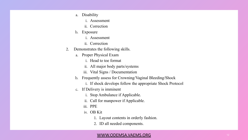- a. Disability
	- i. Assessment
	- ii. Correction
- b. Exposure
	- i. Assessment
	- ii. Correction
- 2. Demonstrates the following skills.
	- a. Proper Physical Exam
		- i. Head to toe format
		- ii. All major body parts/systems
		- iii. Vital Signs / Documentation
	- b. Frequently assess for Crowning/Vaginal Bleeding/Shock
		- i. If shock develops follow the appropriate Shock Protocol
	- c. If Delivery is imminent
		- i. Stop Ambulance if Applicable.
		- ii. Call for manpower if Applicable.
		- iii. PPE
		- iv. OB Kit
			- 1. Layout contents in orderly fashion.
			- 2. ID all needed components.

#### [WWW.ODEMSA.VAEMS.ORG](http://www.odemsa.vaems.org/) 12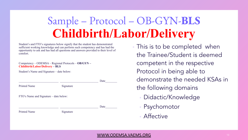## Sample – Protocol – OB-GYN-**BLS Childbirth/Labor/Delivery**

Student's and FTO's signatures below signify that the student has demonstrated sufficient working knowledge and can perform such competency and has had the opportunity to ask and has had all questions and answers provided to their level of comfort.

#### Competency – ODEMSA – Regional Protocols – **OB/GYN – Childbirth/Labor/Delivery – BLS**

Student's Name and Signature – date below:

|                                        |           | Date |
|----------------------------------------|-----------|------|
| <b>Printed Name</b>                    | Signature |      |
| FTO's Name and Signature – date below: |           |      |
|                                        |           | Date |
| <b>Printed Name</b>                    | Signature |      |
|                                        |           |      |

This is to be completed when the Trainee/Student is deemed competent in the respective Protocol in being able to demonstrate the needed KSAs in the following domains

- Didactic/Knowledge
- **Psychomotor**
- **Affective**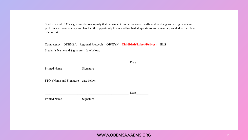Student's and FTO's signatures below signify that the student has demonstrated sufficient working knowledge and can perform such competency and has had the opportunity to ask and has had all questions and answers provided to their level of comfort.

Competency – ODEMSA – Regional Protocols – **OB/GYN – Childbirth/Labor/Delivery – BLS** Student's Name and Signature – date below:

\_\_\_\_\_\_\_\_\_\_\_\_\_\_\_\_\_\_\_\_\_\_\_\_\_\_\_ \_\_\_\_\_\_\_\_\_\_\_\_\_\_\_\_\_\_\_\_\_\_\_\_\_\_ Date\_\_\_\_\_\_\_\_

Printed Name Signature

FTO's Name and Signature – date below:

\_\_\_\_\_\_\_\_\_\_\_\_\_\_\_\_\_\_\_\_\_\_\_\_\_\_\_ \_\_\_\_\_\_\_\_\_\_\_\_\_\_\_\_\_\_\_\_\_\_\_\_\_\_ Date\_\_\_\_\_\_\_\_

Printed Name Signature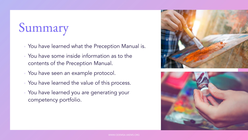## Summary

- You have learned what the Preception Manual is.
- You have some inside information as to the contents of the Preception Manual.
- You have seen an example protocol.
- You have learned the value of this process.
- You have learned you are generating your competency portfolio.



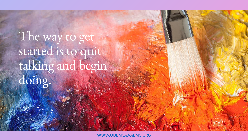The way to get started is to quit talking and begin doing.

Walt Disney

[WWW.ODEMSA.VAEMS.ORG](http://www.odemsa.vaems.org/)